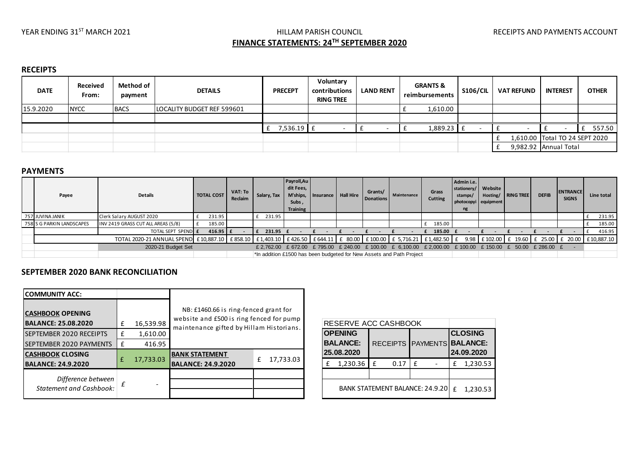# YEAR ENDING 31<sup>ST</sup> MARCH 2021 **Example 2021** HILLAM PARISH COUNCIL **The COUNCIL RECEIPTS AND PAYMENTS ACCOUNT FINANCE STATEMENTS: 24TH SEPTEMBER 2020**

#### **RECEIPTS**

| <b>DATE</b> | <b>Received</b><br>From: | Method of<br>payment | <b>DETAILS</b>             | <b>PRECEPT</b> | Voluntary<br>contributions<br><b>RING TREE</b> | <b>LAND RENT</b> | <b>GRANTS &amp;</b><br>reimbursements | <b>S106/CIL</b> | <b>VAT REFUND</b> | <b>INTEREST</b>                | <b>OTHER</b> |
|-------------|--------------------------|----------------------|----------------------------|----------------|------------------------------------------------|------------------|---------------------------------------|-----------------|-------------------|--------------------------------|--------------|
| 15.9.2020   | <b>NYCC</b>              | <b>BACS</b>          | LOCALITY BUDGET REF 599601 |                |                                                |                  | 1,610.00                              |                 |                   |                                |              |
|             |                          |                      |                            |                |                                                |                  |                                       |                 |                   |                                |              |
|             |                          |                      |                            | 7,536.19 £     |                                                |                  | 1,889.23 £                            |                 |                   |                                | 557.50       |
|             |                          |                      |                            |                |                                                |                  |                                       |                 |                   | 1,610.00 Total TO 24 SEPT 2020 |              |
|             |                          |                      |                            |                |                                                |                  |                                       |                 |                   | 9,982.92 Annual Total          |              |

### **PAYMENTS**

| Payee                     | <b>Details</b>                                                                                                                                                          | <b>TOTAL COST</b> | VAT: To<br>Reclaim | Salary, Tax | Payroll, Au<br>dit Fees,<br>Subs,<br><b>Training</b> | M'ships.   Insurance   Hall Hire | Grants/<br><b>Donations</b> | Maintenance                                                                                     | Grass<br><b>Cutting</b> | Admin i.e.<br>stationery/ Website<br>stamps/ | photocopyi equipment | Hosting/ RING TREE | <b>DEFIB</b> | <b>ENTRANCE</b><br><b>SIGNS</b> | Line total |
|---------------------------|-------------------------------------------------------------------------------------------------------------------------------------------------------------------------|-------------------|--------------------|-------------|------------------------------------------------------|----------------------------------|-----------------------------|-------------------------------------------------------------------------------------------------|-------------------------|----------------------------------------------|----------------------|--------------------|--------------|---------------------------------|------------|
| 757 JUVINA JANIK          | Clerk Salary AUGUST 2020                                                                                                                                                | 231.95            |                    | 231.95      |                                                      |                                  |                             |                                                                                                 |                         |                                              |                      |                    |              |                                 | 231.95     |
| 758 S G PARKIN LANDSCAPES | INV 2419 GRASS CUT ALL AREAS (5/8)                                                                                                                                      | 185.00            |                    |             |                                                      |                                  |                             |                                                                                                 | 185.00                  |                                              |                      |                    |              |                                 | 185.00     |
|                           | TOTAL SEPT SPEND E                                                                                                                                                      | 416.95   $f$      |                    | 231.95 £    |                                                      |                                  |                             |                                                                                                 | 185.00                  |                                              |                      |                    |              |                                 | 416.95     |
|                           | TOTAL 2020-21 ANNUAL SPEND E 10,887.10 E 858.10 E 1,403.10 E 426.50 E 644.11 E 80.00 E 100.00 E 5,716.21 E 1,482.50 E 9.98 E 102.00 E 19.60 E 25.00 E 20.00 E 10,887.10 |                   |                    |             |                                                      |                                  |                             |                                                                                                 |                         |                                              |                      |                    |              |                                 |            |
| 2020-21 Budget Set        |                                                                                                                                                                         |                   |                    |             |                                                      |                                  |                             | £2,762.00 £672.00 £795.00 £240.00 £100.00 £6,100.00 £2,000.00 £100.00 £150.00 £ 50.00 £286.00 £ |                         |                                              |                      |                    |              |                                 |            |
|                           |                                                                                                                                                                         |                   |                    |             |                                                      |                                  |                             | *In addition £1500 has been budgeted for New Assets and Path Project                            |                         |                                              |                      |                    |              |                                 |            |

## **SEPTEMBER 2020 BANK RECONCILIATION**

| <b>COMMUNITY ACC:</b>                                 |   |           |                                                                                                                               |   |           |  |
|-------------------------------------------------------|---|-----------|-------------------------------------------------------------------------------------------------------------------------------|---|-----------|--|
| <b>CASHBOOK OPENING</b><br><b>BALANCE: 25.08.2020</b> |   | 16,539.98 | NB: £1460.66 is ring-fenced grant for<br>website and £500 is ring fenced for pump<br>maintenance gifted by Hillam Historians. |   |           |  |
| SEPTEMBER 2020 RECEIPTS                               | £ | 1,610.00  |                                                                                                                               |   |           |  |
| SEPTEMBER 2020 PAYMENTS                               | £ | 416.95    |                                                                                                                               |   |           |  |
| <b>CASHBOOK CLOSING</b><br><b>BALANCE: 24.9.2020</b>  | f | 17,733.03 | <b>BANK STATEMENT</b><br><b>BALANCE: 24.9.2020</b>                                                                            | £ | 17,733.03 |  |
| Difference between<br><b>Statement and Cashbook:</b>  | f |           |                                                                                                                               |   |           |  |

| RESERVE ACC CASHBOOK                            |   |          |      |   |  |                                                            |          |  |  |
|-------------------------------------------------|---|----------|------|---|--|------------------------------------------------------------|----------|--|--|
| <b>OPENING</b><br><b>BALANCE:</b><br>25.08.2020 |   |          |      |   |  | <b>CLOSING</b><br>RECEIPTS PAYMENTS BALANCE:<br>24.09.2020 |          |  |  |
| 1,230.36<br>f                                   |   | f        | 0.17 | f |  | £                                                          | 1,230.53 |  |  |
|                                                 |   |          |      |   |  |                                                            |          |  |  |
| <b>BANK STATEMENT BALANCE: 24.9.20</b>          | f | 1,230.53 |      |   |  |                                                            |          |  |  |